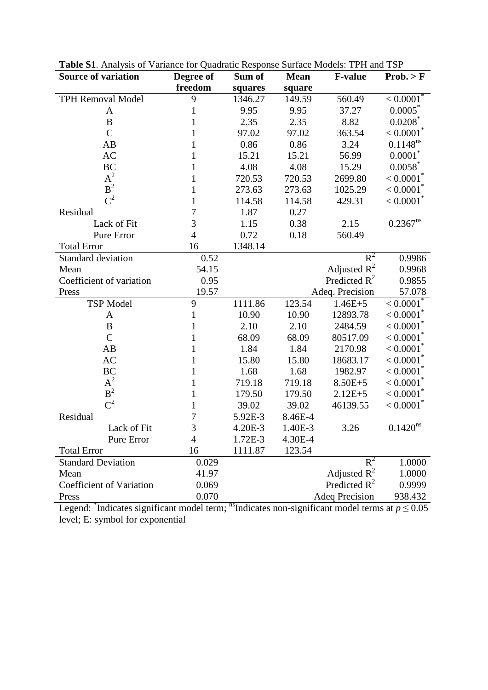| <b>Source of variation</b>      | Degree of      | Sum of  | <b>Mean</b> | <b>F-value</b>        | Prob. > F               |
|---------------------------------|----------------|---------|-------------|-----------------------|-------------------------|
|                                 | freedom        | squares | square      |                       |                         |
| <b>TPH Removal Model</b>        | 9              | 1346.27 | 149.59      | 560.49                | < 0.0001                |
| A                               | 1              | 9.95    | 9.95        | 37.27                 | $0.0005^*$              |
| $\bf{B}$                        | 1              | 2.35    | 2.35        | 8.82                  | $0.0208^*$              |
| $\overline{C}$                  | 1              | 97.02   | 97.02       | 363.54                | < 0.0001                |
| AB                              | 1              | 0.86    | 0.86        | 3.24                  | $0.1148^{ns}$           |
| <b>AC</b>                       | 1              | 15.21   | 15.21       | 56.99                 | $0.0001^{\degree}$      |
| <b>BC</b>                       | 1              | 4.08    | 4.08        | 15.29                 | 0.0058                  |
| $A^2$                           | 1              | 720.53  | 720.53      | 2699.80               | < 0.0001                |
| B <sup>2</sup>                  | 1              | 273.63  | 273.63      | 1025.29               | < 0.0001                |
| $C^2$                           | $\mathbf{1}$   | 114.58  | 114.58      | 429.31                | $< 0.0001$ <sup>*</sup> |
| Residual                        | 7              | 1.87    | 0.27        |                       |                         |
| Lack of Fit                     | 3              | 1.15    | 0.38        | 2.15                  | $0.2367^{ns}$           |
| Pure Error                      | $\overline{4}$ | 0.72    | 0.18        | 560.49                |                         |
| <b>Total Error</b>              | 16             | 1348.14 |             |                       |                         |
| Standard deviation              | 0.52           |         |             | $R^2$                 | 0.9986                  |
| Mean                            | 54.15          |         |             | Adjusted $R^2$        | 0.9968                  |
| Coefficient of variation        | 0.95           |         |             | Predicted $R^2$       | 0.9855                  |
| Press                           | 19.57          |         |             | Adeq. Precision       | 57.078                  |
| <b>TSP</b> Model                | 9              | 1111.86 | 123.54      | $1.46E + 5$           | < 0.0001                |
| A                               | $\mathbf{1}$   | 10.90   | 10.90       | 12893.78              | < 0.0001                |
| B                               | 1              | 2.10    | 2.10        | 2484.59               | < 0.0001                |
| $\overline{C}$                  | 1              | 68.09   | 68.09       | 80517.09              | < 0.0001                |
| AB                              | 1              | 1.84    | 1.84        | 2170.98               | < 0.0001                |
| <b>AC</b>                       | 1              | 15.80   | 15.80       | 18683.17              | < 0.0001                |
| <b>BC</b>                       | 1              | 1.68    | 1.68        | 1982.97               | < 0.0001                |
| $A^2$                           | 1              | 719.18  | 719.18      | $8.50E + 5$           | < 0.0001                |
| B <sup>2</sup>                  | 1              | 179.50  | 179.50      | $2.12E + 5$           | < 0.0001                |
| $C^2$                           | 1              | 39.02   | 39.02       | 46139.55              | $< 0.0001$ <sup>*</sup> |
| Residual                        | 7              | 5.92E-3 | 8.46E-4     |                       |                         |
| Lack of Fit                     | 3              | 4.20E-3 | 1.40E-3     | 3.26                  | $0.1420^{ns}$           |
| Pure Error                      | 4              | 1.72E-3 | 4.30E-4     |                       |                         |
| <b>Total Error</b>              | 16             | 1111.87 | 123.54      |                       |                         |
| <b>Standard Deviation</b>       | 0.029          |         |             | $R^2$                 | 1.0000                  |
| Mean                            | 41.97          |         |             | Adjusted $R^2$        | 1.0000                  |
| <b>Coefficient of Variation</b> | 0.069          |         |             | Predicted $R^2$       | 0.9999                  |
| Press                           | 0.070          |         |             | <b>Adeq Precision</b> | 938.432                 |

| Table S1. Analysis of Variance for Quadratic Response Surface Models: TPH and TSP |  |
|-----------------------------------------------------------------------------------|--|
|-----------------------------------------------------------------------------------|--|

Legend: <sup>\*</sup>Indicates significant model term; <sup>ns</sup>Indicates non-significant model terms at  $p \le 0.05$ level; E: symbol for exponential